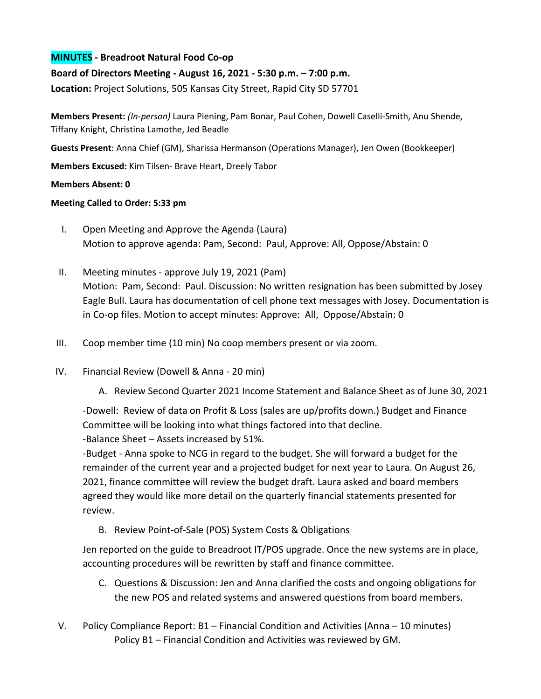## **MINUTES - Breadroot Natural Food Co-op**

## **Board of Directors Meeting - August 16, 2021 - 5:30 p.m. – 7:00 p.m.**

**Location:** Project Solutions, 505 Kansas City Street, Rapid City SD 57701

**Members Present:** *(In-person)* Laura Piening, Pam Bonar, Paul Cohen, Dowell Caselli-Smith, Anu Shende, Tiffany Knight, Christina Lamothe, Jed Beadle

**Guests Present**: Anna Chief (GM), Sharissa Hermanson (Operations Manager), Jen Owen (Bookkeeper)

**Members Excused:** Kim Tilsen- Brave Heart, Dreely Tabor

## **Members Absent: 0**

## **Meeting Called to Order: 5:33 pm**

- I. Open Meeting and Approve the Agenda (Laura) Motion to approve agenda: Pam, Second: Paul, Approve: All, Oppose/Abstain: 0
- II. Meeting minutes approve July 19, 2021 (Pam) Motion: Pam, Second: Paul. Discussion: No written resignation has been submitted by Josey Eagle Bull. Laura has documentation of cell phone text messages with Josey. Documentation is in Co-op files. Motion to accept minutes: Approve: All, Oppose/Abstain: 0
- III. Coop member time (10 min) No coop members present or via zoom.
- IV. Financial Review (Dowell & Anna 20 min)
	- A. Review Second Quarter 2021 Income Statement and Balance Sheet as of June 30, 2021

-Dowell: Review of data on Profit & Loss (sales are up/profits down.) Budget and Finance Committee will be looking into what things factored into that decline.

-Balance Sheet – Assets increased by 51%.

-Budget - Anna spoke to NCG in regard to the budget. She will forward a budget for the remainder of the current year and a projected budget for next year to Laura. On August 26, 2021, finance committee will review the budget draft. Laura asked and board members agreed they would like more detail on the quarterly financial statements presented for review.

B. Review Point-of-Sale (POS) System Costs & Obligations

Jen reported on the guide to Breadroot IT/POS upgrade. Once the new systems are in place, accounting procedures will be rewritten by staff and finance committee.

- C. Questions & Discussion: Jen and Anna clarified the costs and ongoing obligations for the new POS and related systems and answered questions from board members.
- V. Policy Compliance Report: B1 Financial Condition and Activities (Anna 10 minutes) Policy B1 – Financial Condition and Activities was reviewed by GM.